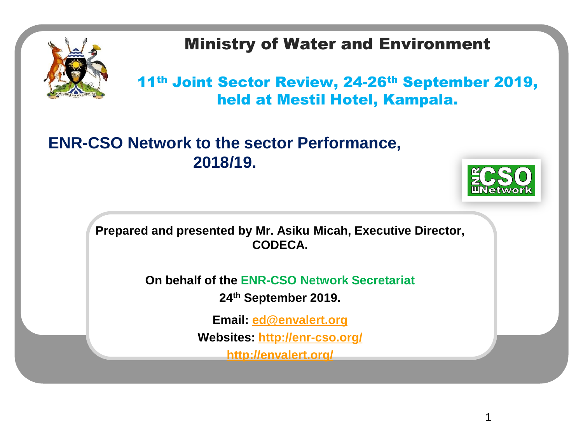

### Ministry of Water and Environment

11th Joint Sector Review, 24-26th September 2019, held at Mestil Hotel, Kampala.

#### **ENR-CSO Network to the sector Performance, 2018/19.**



1

**Prepared and presented by Mr. Asiku Micah, Executive Director, CODECA.**

**On behalf of the ENR-CSO Network Secretariat**

**24th September 2019.**

**Email: [ed@envalert.org](mailto:ed@envalert.org)**

**Websites:<http://enr-cso.org/>**

**<http://envalert.org/>**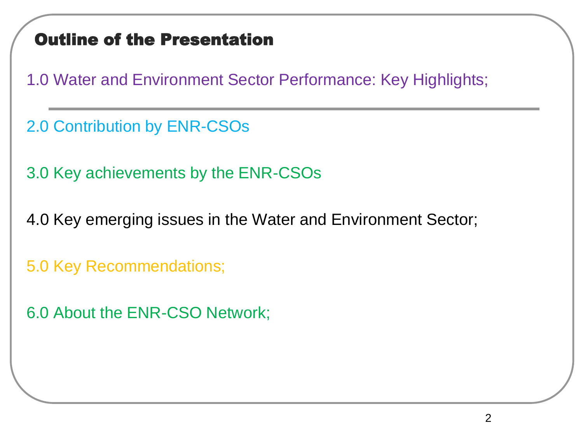### Outline of the Presentation

1.0 Water and Environment Sector Performance: Key Highlights;

2.0 Contribution by ENR-CSOs

3.0 Key achievements by the ENR-CSOs

4.0 Key emerging issues in the Water and Environment Sector;

5.0 Key Recommendations;

6.0 About the ENR-CSO Network;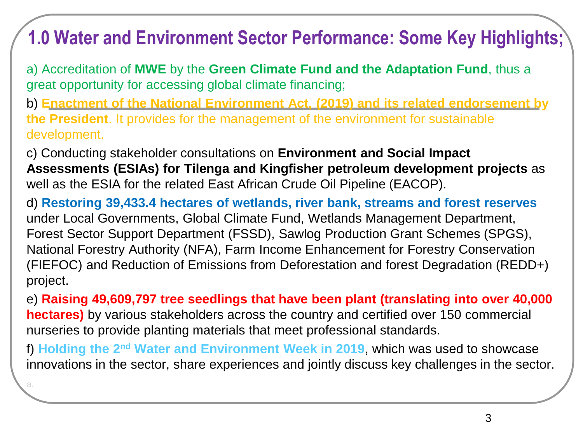### **1.0 Water and Environment Sector Performance: Some Key Highlights;**

a) Accreditation of **MWE** by the **Green Climate Fund and the Adaptation Fund**, thus a great opportunity for accessing global climate financing;

b) **Enactment of the National Environment Act, (2019) and its related endorsement by the President**. It provides for the management of the environment for sustainable development.

c) Conducting stakeholder consultations on **Environment and Social Impact Assessments (ESIAs) for Tilenga and Kingfisher petroleum development projects** as well as the ESIA for the related East African Crude Oil Pipeline (EACOP).

d) **Restoring 39,433.4 hectares of wetlands, river bank, streams and forest reserves**  under Local Governments, Global Climate Fund, Wetlands Management Department, Forest Sector Support Department (FSSD), Sawlog Production Grant Schemes (SPGS), National Forestry Authority (NFA), Farm Income Enhancement for Forestry Conservation (FIEFOC) and Reduction of Emissions from Deforestation and forest Degradation (REDD+) project.

e) **Raising 49,609,797 tree seedlings that have been plant (translating into over 40,000 hectares)** by various stakeholders across the country and certified over 150 commercial nurseries to provide planting materials that meet professional standards.

f) **Holding the 2nd Water and Environment Week in 2019**, which was used to showcase innovations in the sector, share experiences and jointly discuss key challenges in the sector.

a.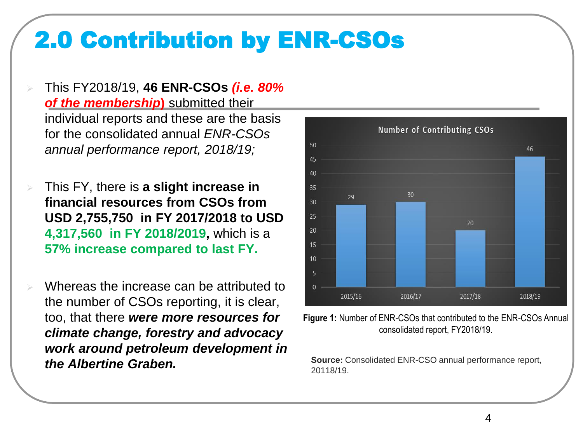This FY2018/19, **46 ENR-CSOs** *(i.e. 80% of the membership***)** submitted their individual reports and these are the basis for the consolidated annual *ENR-CSOs annual performance report, 2018/19;*

- This FY, there is **a slight increase in financial resources from CSOs from USD 2,755,750 in FY 2017/2018 to USD 4,317,560 in FY 2018/2019,** which is a **57% increase compared to last FY.**
- Whereas the increase can be attributed to the number of CSOs reporting, it is clear, too, that there *were more resources for climate change, forestry and advocacy work around petroleum development in the Albertine Graben.*



**Figure 1:** Number of ENR-CSOs that contributed to the ENR-CSOs Annual consolidated report, FY2018/19.

**Source:** Consolidated ENR-CSO annual performance report, 20118/19.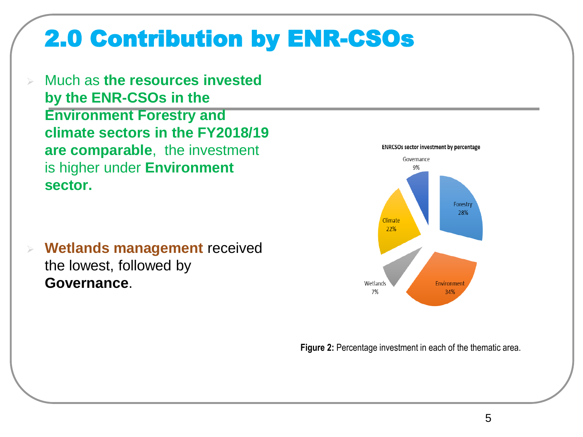Much as **the resources invested by the ENR-CSOs in the Environment Forestry and climate sectors in the FY2018/19 are comparable**, the investment is higher under **Environment sector.** 

 **Wetlands management** received the lowest, followed by **Governance**.



**Figure 2:** Percentage investment in each of the thematic area.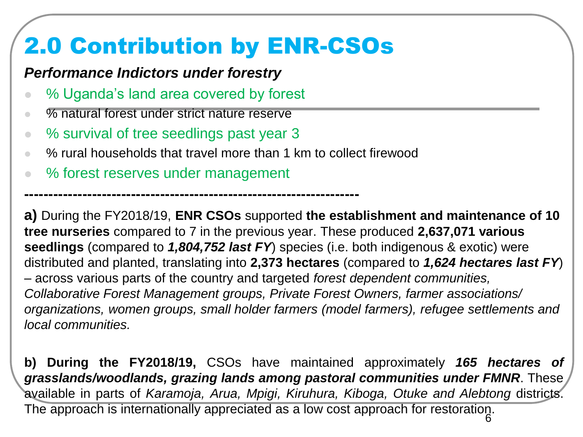#### *Performance Indictors under forestry*

- % Uganda's land area covered by forest
- % natural forest under strict nature reserve
- % survival of tree seedlings past year 3
- % rural households that travel more than 1 km to collect firewood
- % forest reserves under management

**---------------------------------------------------------------------**

**a)** During the FY2018/19, **ENR CSOs** supported **the establishment and maintenance of 10 tree nurseries** compared to 7 in the previous year. These produced **2,637,071 various seedlings** (compared to *1,804,752 last FY*) species (i.e. both indigenous & exotic) were distributed and planted, translating into **2,373 hectares** (compared to *1,624 hectares last FY*) – across various parts of the country and targeted *forest dependent communities, Collaborative Forest Management groups, Private Forest Owners, farmer associations/ organizations, women groups, small holder farmers (model farmers), refugee settlements and local communities.* 

**b) During the FY2018/19,** CSOs have maintained approximately *165 hectares of grasslands/woodlands, grazing lands among pastoral communities under FMNR*. These available in parts of *Karamoja, Arua, Mpigi, Kiruhura, Kiboga, Otuke and Alebtong* districts.

The approach is internationally appreciated as a low cost approach for restoration.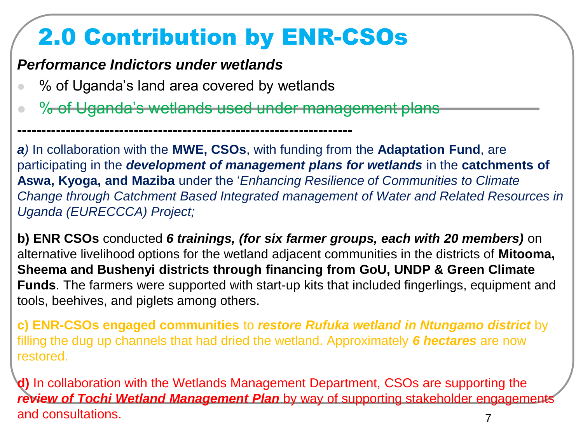#### *Performance Indictors under wetlands*

● % of Uganda's land area covered by wetlands

**---------------------------------------------------------------------**

% of Uganda's wetlands used under management plans

*a)* In collaboration with the **MWE, CSOs**, with funding from the **Adaptation Fund**, are participating in the *development of management plans for wetlands* in the **catchments of Aswa, Kyoga, and Maziba** under the '*Enhancing Resilience of Communities to Climate Change through Catchment Based Integrated management of Water and Related Resources in Uganda (EURECCCA) Project;*

**b) ENR CSOs** conducted *6 trainings, (for six farmer groups, each with 20 members)* on alternative livelihood options for the wetland adjacent communities in the districts of **Mitooma, Sheema and Bushenyi districts through financing from GoU, UNDP & Green Climate Funds**. The farmers were supported with start-up kits that included fingerlings, equipment and tools, beehives, and piglets among others.

**c) ENR-CSOs engaged communities** to *restore Rufuka wetland in Ntungamo district* by filling the dug up channels that had dried the wetland. Approximately *6 hectares* are now restored.

**d)** In collaboration with the Wetlands Management Department, CSOs are supporting the *review of Tochi Wetland Management Plan* by way of supporting stakeholder engagements and consultations. The consultations of the consultations of the consultations of the consultations of the consultations of the consultations of the consultations of the consultations of the consultations of the consultati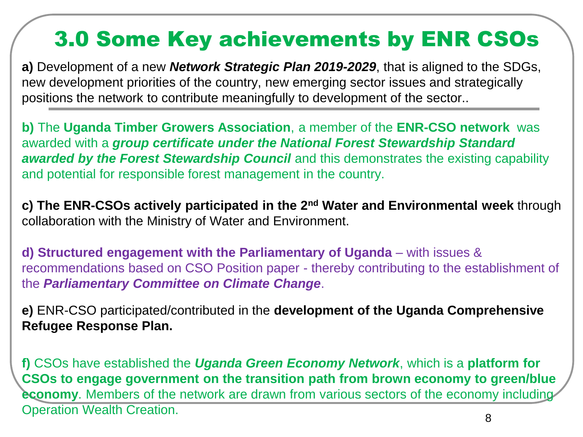### 3.0 Some Key achievements by ENR CSOs

**a)** Development of a new *Network Strategic Plan 2019-2029*, that is aligned to the SDGs, new development priorities of the country, new emerging sector issues and strategically positions the network to contribute meaningfully to development of the sector..

**b)** The **Uganda Timber Growers Association**, a member of the **ENR-CSO network** was awarded with a *group certificate under the National Forest Stewardship Standard awarded by the Forest Stewardship Council* and this demonstrates the existing capability and potential for responsible forest management in the country.

**c) The ENR-CSOs actively participated in the 2nd Water and Environmental week** through collaboration with the Ministry of Water and Environment.

**d) Structured engagement with the Parliamentary of Uganda** – with issues & recommendations based on CSO Position paper - thereby contributing to the establishment of the *Parliamentary Committee on Climate Change*.

**e)** ENR-CSO participated/contributed in the **development of the Uganda Comprehensive Refugee Response Plan.**

**f)** CSOs have established the *Uganda Green Economy Network*, which is a **platform for CSOs to engage government on the transition path from brown economy to green/blue economy**. Members of the network are drawn from various sectors of the economy including Operation Wealth Creation. <sup>8</sup>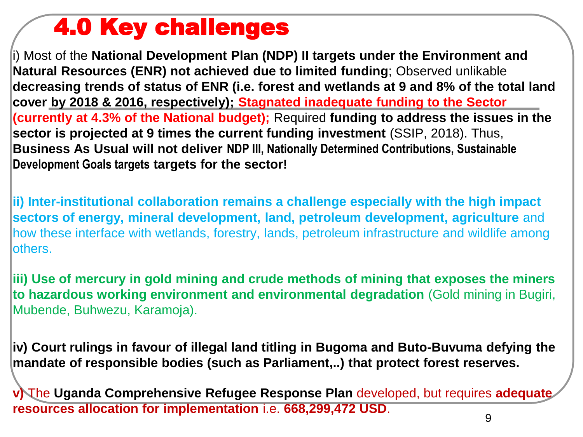### 4.0 Key challenges

i) Most of the **National Development Plan (NDP) II targets under the Environment and Natural Resources (ENR) not achieved due to limited funding**; Observed unlikable **decreasing trends of status of ENR (i.e. forest and wetlands at 9 and 8% of the total land cover by 2018 & 2016, respectively); Stagnated inadequate funding to the Sector (currently at 4.3% of the National budget);** Required **funding to address the issues in the sector is projected at 9 times the current funding investment** (SSIP, 2018). Thus, **Business As Usual will not deliver NDP III, Nationally Determined Contributions, Sustainable Development Goals targets targets for the sector!**

**ii) Inter-institutional collaboration remains a challenge especially with the high impact sectors of energy, mineral development, land, petroleum development, agriculture** and how these interface with wetlands, forestry, lands, petroleum infrastructure and wildlife among others.

**iii) Use of mercury in gold mining and crude methods of mining that exposes the miners to hazardous working environment and environmental degradation** (Gold mining in Bugiri, Mubende, Buhwezu, Karamoja).

**iv) Court rulings in favour of illegal land titling in Bugoma and Buto-Buvuma defying the mandate of responsible bodies (such as Parliament,..) that protect forest reserves.**

**v)** The **Uganda Comprehensive Refugee Response Plan** developed, but requires **adequate resources allocation for implementation** i.e. **668,299,472 USD**.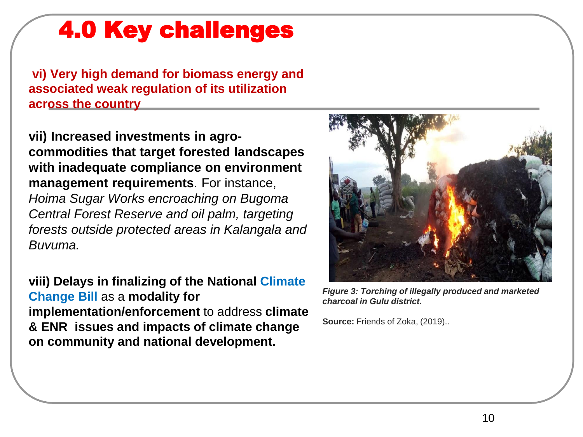### 4.0 Key challenges

**vi) Very high demand for biomass energy and associated weak regulation of its utilization across the country** 

**vii) Increased investments in agrocommodities that target forested landscapes with inadequate compliance on environment management requirements**. For instance, *Hoima Sugar Works encroaching on Bugoma Central Forest Reserve and oil palm, targeting forests outside protected areas in Kalangala and Buvuma.*

**viii) Delays in finalizing of the National Climate Change Bill** as a **modality for implementation/enforcement** to address **climate & ENR issues and impacts of climate change on community and national development.** 



*Figure 3: Torching of illegally produced and marketed charcoal in Gulu district.*

**Source:** Friends of Zoka, (2019)..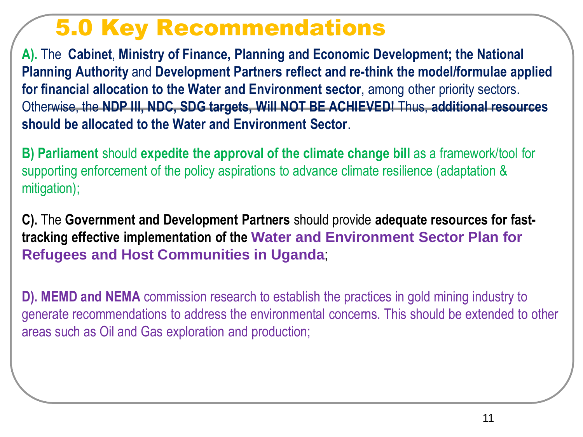### 5.0 Key Recommendations

**A).** The **Cabinet**, **Ministry of Finance, Planning and Economic Development; the National Planning Authority** and **Development Partners reflect and re-think the model/formulae applied for financial allocation to the Water and Environment sector**, among other priority sectors. Otherwise, the **NDP III, NDC, SDG targets, Will NOT BE ACHIEVED!** Thus, **additional resources should be allocated to the Water and Environment Sector**.

**B) Parliament** should **expedite the approval of the climate change bill** as a framework/tool for supporting enforcement of the policy aspirations to advance climate resilience (adaptation & mitigation);

**C).** The **Government and Development Partners** should provide **adequate resources for fasttracking effective implementation of the Water and Environment Sector Plan for Refugees and Host Communities in Uganda**;

**D). MEMD and NEMA** commission research to establish the practices in gold mining industry to generate recommendations to address the environmental concerns. This should be extended to other areas such as Oil and Gas exploration and production;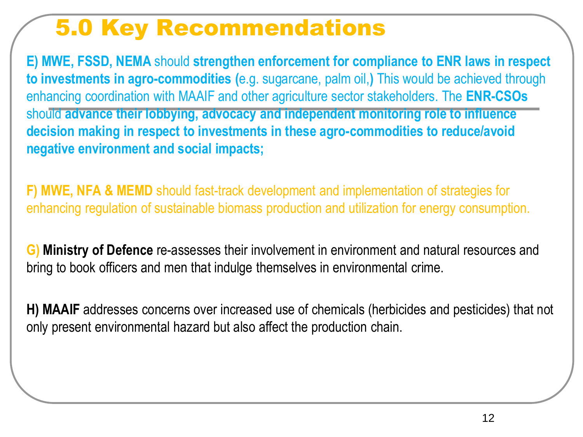### 5.0 Key Recommendations

**E) MWE, FSSD, NEMA** should **strengthen enforcement for compliance to ENR laws in respect to investments in agro-commodities (**e.g. sugarcane, palm oil,**)** This would be achieved through enhancing coordination with MAAIF and other agriculture sector stakeholders. The **ENR-CSOs** should **advance their lobbying, advocacy and independent monitoring role to influence decision making in respect to investments in these agro-commodities to reduce/avoid negative environment and social impacts;**

**F) MWE, NFA & MEMD** should fast-track development and implementation of strategies for enhancing regulation of sustainable biomass production and utilization for energy consumption.

**G) Ministry of Defence** re-assesses their involvement in environment and natural resources and bring to book officers and men that indulge themselves in environmental crime.

**H) MAAIF** addresses concerns over increased use of chemicals (herbicides and pesticides) that not only present environmental hazard but also affect the production chain.